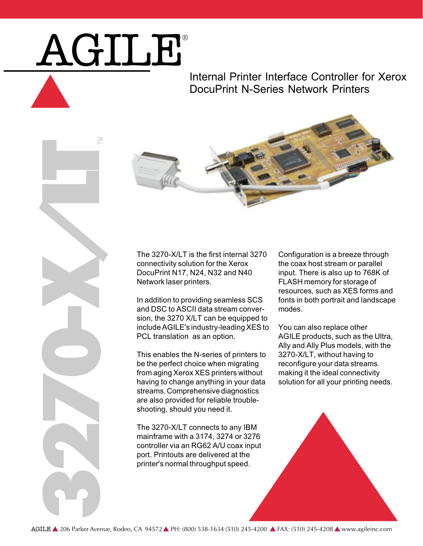## AGILE®

## Internal Printer Interface Controller for Xerox DocuPrint N-Series Network Printers



The 3270-X/LT is the first internal 3270 connectivity solution for the Xerox DocuPrint N17, N24, N32 and N40 Network laser printers.

In addition to providing seamless SCS and DSC to ASCII data stream conversion, the 3270 X/LT can be equipped to include AGILE's industry-leading XES to PCL translation as an option.

This enables the N-series of printers to be the perfect choice when migrating from aging Xerox XES printers without having to change anything in your data streams. Comprehensive diagnostics are also provided for reliable troubleshooting, should you need it.

The 3270-X/LT connects to any IBM mainframe with a 3174, 3274 or 3276 controller via an RG62 A/U coax input port. Printouts are delivered at the printer's normal throughput speed.

Configuration is a breeze through the coax host stream or parallel input. There is also up to 768K of FLASH memory for storage of resources, such as XES forms and fonts in both portrait and landscape modes.

You can also replace other AGILE products, such as the Ultra, Ally and Ally Plus models, with the 3270-X/LT, without having to reconfigure your data streams. making it the ideal connectivity solution for all your printing needs.